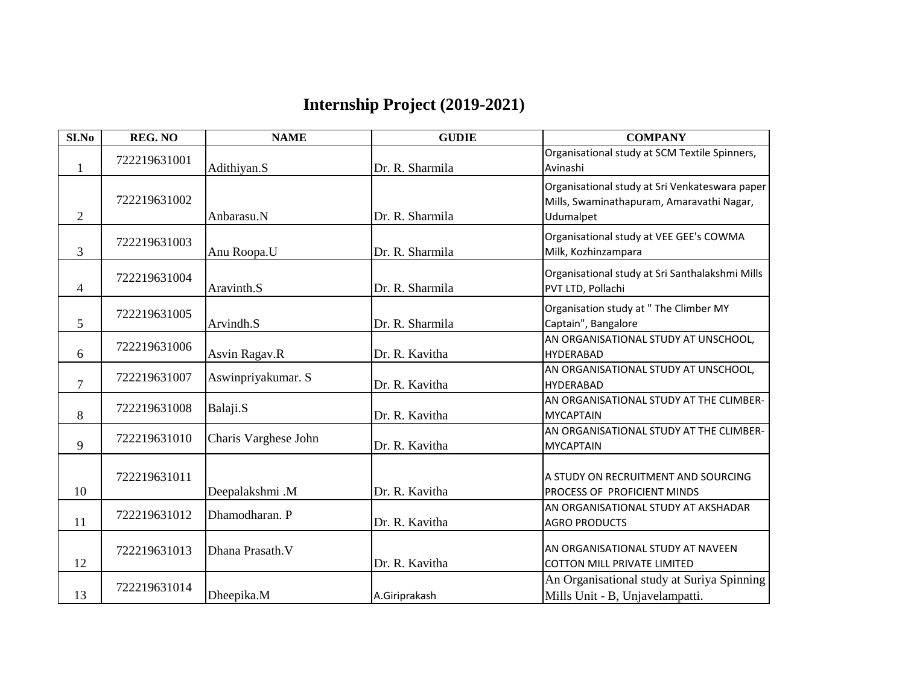## **Internship Project (2019-2021)**

| SI.No          | <b>REG. NO</b> | <b>NAME</b>          | <b>GUDIE</b>    | <b>COMPANY</b>                                                                                           |
|----------------|----------------|----------------------|-----------------|----------------------------------------------------------------------------------------------------------|
| 1              | 722219631001   | Adithiyan.S          | Dr. R. Sharmila | Organisational study at SCM Textile Spinners,<br>Avinashi                                                |
| $\overline{2}$ | 722219631002   | Anbarasu.N           | Dr. R. Sharmila | Organisational study at Sri Venkateswara paper<br>Mills, Swaminathapuram, Amaravathi Nagar,<br>Udumalpet |
| 3              | 722219631003   | Anu Roopa.U          | Dr. R. Sharmila | Organisational study at VEE GEE's COWMA<br>Milk, Kozhinzampara                                           |
| 4              | 722219631004   | Aravinth.S           | Dr. R. Sharmila | Organisational study at Sri Santhalakshmi Mills<br>PVT LTD, Pollachi                                     |
| 5              | 722219631005   | Arvindh.S            | Dr. R. Sharmila | Organisation study at " The Climber MY<br>Captain", Bangalore                                            |
| 6              | 722219631006   | Asvin Ragav.R        | Dr. R. Kavitha  | AN ORGANISATIONAL STUDY AT UNSCHOOL,<br><b>HYDERABAD</b>                                                 |
| $\overline{7}$ | 722219631007   | Aswinpriyakumar. S   | Dr. R. Kavitha  | AN ORGANISATIONAL STUDY AT UNSCHOOL,<br><b>HYDERABAD</b>                                                 |
| 8              | 722219631008   | Balaji.S             | Dr. R. Kavitha  | AN ORGANISATIONAL STUDY AT THE CLIMBER-<br><b>MYCAPTAIN</b>                                              |
| 9              | 722219631010   | Charis Varghese John | Dr. R. Kavitha  | AN ORGANISATIONAL STUDY AT THE CLIMBER-<br><b>MYCAPTAIN</b>                                              |
| 10             | 722219631011   | Deepalakshmi.M       | Dr. R. Kavitha  | A STUDY ON RECRUITMENT AND SOURCING<br>PROCESS OF PROFICIENT MINDS                                       |
| 11             | 722219631012   | Dhamodharan. P       | Dr. R. Kavitha  | AN ORGANISATIONAL STUDY AT AKSHADAR<br><b>AGRO PRODUCTS</b>                                              |
| 12             | 722219631013   | Dhana Prasath. V     | Dr. R. Kavitha  | AN ORGANISATIONAL STUDY AT NAVEEN<br><b>COTTON MILL PRIVATE LIMITED</b>                                  |
| 13             | 722219631014   | Dheepika.M           | A.Giriprakash   | An Organisational study at Suriya Spinning<br>Mills Unit - B, Unjavelampatti.                            |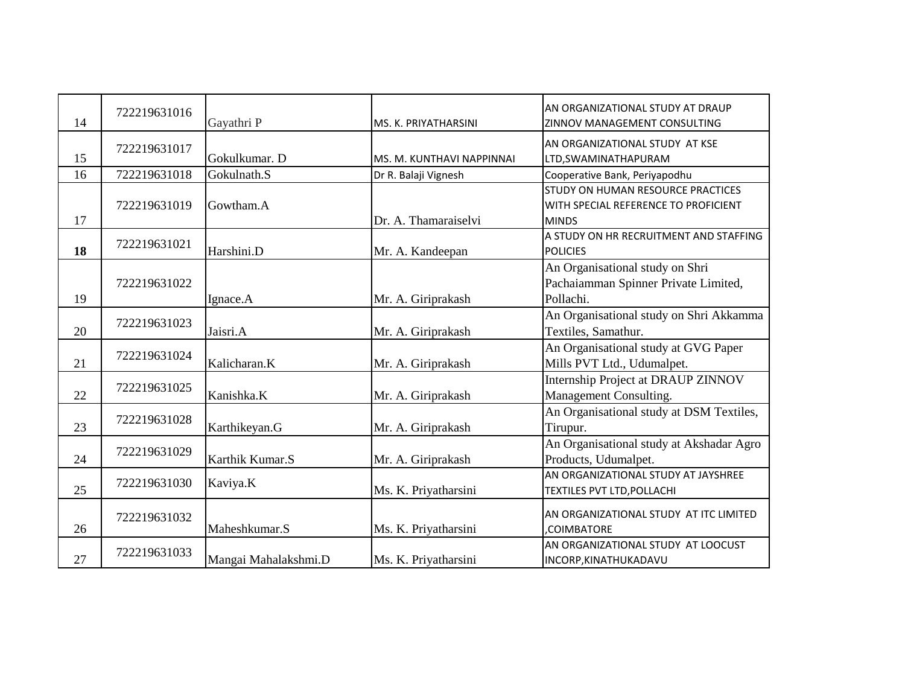| 14 | 722219631016 | Gayathri P           | MS. K. PRIYATHARSINI      | AN ORGANIZATIONAL STUDY AT DRAUP<br>ZINNOV MANAGEMENT CONSULTING                          |
|----|--------------|----------------------|---------------------------|-------------------------------------------------------------------------------------------|
| 15 | 722219631017 | Gokulkumar. D        | MS. M. KUNTHAVI NAPPINNAI | AN ORGANIZATIONAL STUDY AT KSE<br>LTD, SWAMINATHAPURAM                                    |
| 16 | 722219631018 | Gokulnath.S          | Dr R. Balaji Vignesh      | Cooperative Bank, Periyapodhu                                                             |
| 17 | 722219631019 | Gowtham.A            | Dr. A. Thamaraiselvi      | STUDY ON HUMAN RESOURCE PRACTICES<br>WITH SPECIAL REFERENCE TO PROFICIENT<br><b>MINDS</b> |
| 18 | 722219631021 | Harshini.D           | Mr. A. Kandeepan          | A STUDY ON HR RECRUITMENT AND STAFFING<br><b>POLICIES</b>                                 |
| 19 | 722219631022 | Ignace.A             | Mr. A. Giriprakash        | An Organisational study on Shri<br>Pachaiamman Spinner Private Limited,<br>Pollachi.      |
| 20 | 722219631023 | Jaisri.A             | Mr. A. Giriprakash        | An Organisational study on Shri Akkamma<br>Textiles, Samathur.                            |
| 21 | 722219631024 | Kalicharan.K         | Mr. A. Giriprakash        | An Organisational study at GVG Paper<br>Mills PVT Ltd., Udumalpet.                        |
| 22 | 722219631025 | Kanishka.K           | Mr. A. Giriprakash        | Internship Project at DRAUP ZINNOV<br>Management Consulting.                              |
| 23 | 722219631028 | Karthikeyan.G        | Mr. A. Giriprakash        | An Organisational study at DSM Textiles,<br>Tirupur.                                      |
| 24 | 722219631029 | Karthik Kumar.S      | Mr. A. Giriprakash        | An Organisational study at Akshadar Agro<br>Products, Udumalpet.                          |
| 25 | 722219631030 | Kaviya.K             | Ms. K. Priyatharsini      | AN ORGANIZATIONAL STUDY AT JAYSHREE<br><b>TEXTILES PVT LTD, POLLACHI</b>                  |
| 26 | 722219631032 | Maheshkumar.S        | Ms. K. Priyatharsini      | AN ORGANIZATIONAL STUDY AT ITC LIMITED<br>,COIMBATORE                                     |
| 27 | 722219631033 | Mangai Mahalakshmi.D | Ms. K. Priyatharsini      | AN ORGANIZATIONAL STUDY AT LOOCUST<br>INCORP, KINATHUKADAVU                               |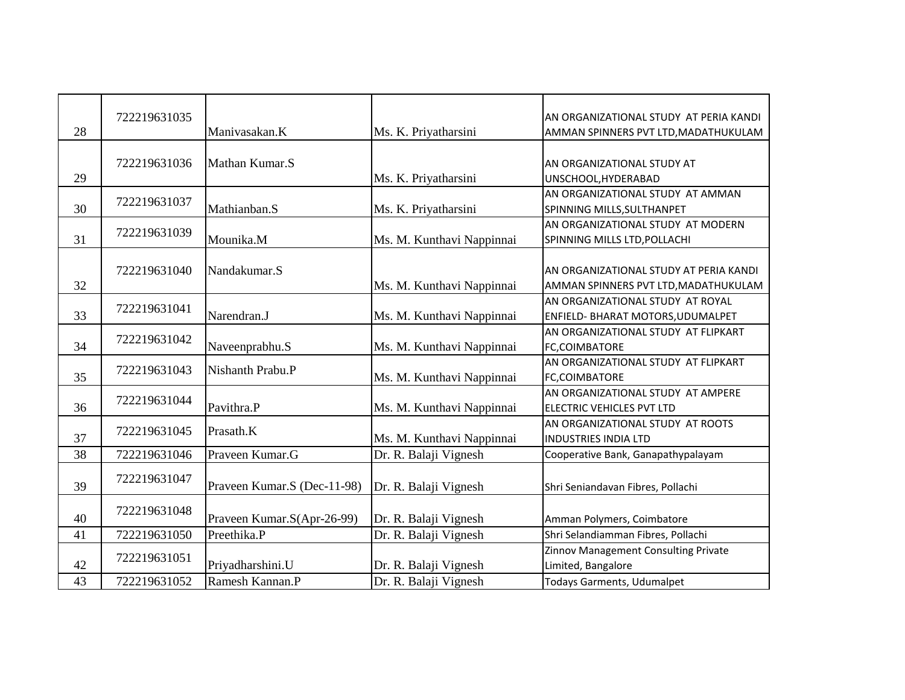| 28 | 722219631035 | Manivasakan.K               | Ms. K. Priyatharsini      | AN ORGANIZATIONAL STUDY AT PERIA KANDI<br>AMMAN SPINNERS PVT LTD, MADATHUKULAM |
|----|--------------|-----------------------------|---------------------------|--------------------------------------------------------------------------------|
| 29 | 722219631036 | Mathan Kumar.S              | Ms. K. Priyatharsini      | AN ORGANIZATIONAL STUDY AT<br>UNSCHOOL, HYDERABAD                              |
| 30 | 722219631037 | Mathianban.S                | Ms. K. Priyatharsini      | AN ORGANIZATIONAL STUDY AT AMMAN<br>SPINNING MILLS, SULTHANPET                 |
| 31 | 722219631039 | Mounika.M                   | Ms. M. Kunthavi Nappinnai | AN ORGANIZATIONAL STUDY AT MODERN<br>SPINNING MILLS LTD, POLLACHI              |
| 32 | 722219631040 | Nandakumar.S                | Ms. M. Kunthavi Nappinnai | AN ORGANIZATIONAL STUDY AT PERIA KANDI<br>AMMAN SPINNERS PVT LTD, MADATHUKULAM |
| 33 | 722219631041 | Narendran.J                 | Ms. M. Kunthavi Nappinnai | AN ORGANIZATIONAL STUDY AT ROYAL<br>ENFIELD- BHARAT MOTORS, UDUMALPET          |
| 34 | 722219631042 | Naveenprabhu.S              | Ms. M. Kunthavi Nappinnai | AN ORGANIZATIONAL STUDY AT FLIPKART<br>FC,COIMBATORE                           |
| 35 | 722219631043 | Nishanth Prabu.P            | Ms. M. Kunthavi Nappinnai | AN ORGANIZATIONAL STUDY AT FLIPKART<br>FC,COIMBATORE                           |
| 36 | 722219631044 | Pavithra.P                  | Ms. M. Kunthavi Nappinnai | AN ORGANIZATIONAL STUDY AT AMPERE<br>ELECTRIC VEHICLES PVT LTD                 |
| 37 | 722219631045 | Prasath.K                   | Ms. M. Kunthavi Nappinnai | AN ORGANIZATIONAL STUDY AT ROOTS<br><b>INDUSTRIES INDIA LTD</b>                |
| 38 | 722219631046 | Praveen Kumar.G             | Dr. R. Balaji Vignesh     | Cooperative Bank, Ganapathypalayam                                             |
| 39 | 722219631047 | Praveen Kumar.S (Dec-11-98) | Dr. R. Balaji Vignesh     | Shri Seniandavan Fibres, Pollachi                                              |
| 40 | 722219631048 | Praveen Kumar.S(Apr-26-99)  | Dr. R. Balaji Vignesh     | Amman Polymers, Coimbatore                                                     |
| 41 | 722219631050 | Preethika.P                 | Dr. R. Balaji Vignesh     | Shri Selandiamman Fibres, Pollachi                                             |
| 42 | 722219631051 | Priyadharshini.U            | Dr. R. Balaji Vignesh     | Zinnov Management Consulting Private<br>Limited, Bangalore                     |
| 43 | 722219631052 | Ramesh Kannan.P             | Dr. R. Balaji Vignesh     | Todays Garments, Udumalpet                                                     |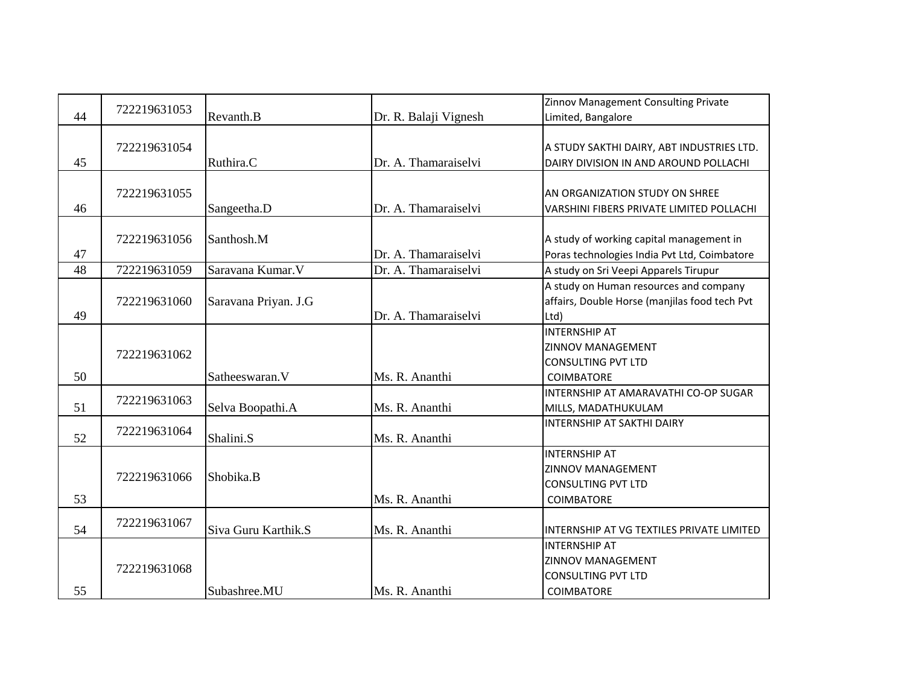|    | 722219631053 |                      |                       | Zinnov Management Consulting Private            |
|----|--------------|----------------------|-----------------------|-------------------------------------------------|
| 44 |              | Revanth.B            | Dr. R. Balaji Vignesh | Limited, Bangalore                              |
|    |              |                      |                       |                                                 |
|    | 722219631054 |                      |                       | A STUDY SAKTHI DAIRY, ABT INDUSTRIES LTD.       |
| 45 |              | Ruthira.C            | Dr. A. Thamaraiselvi  | DAIRY DIVISION IN AND AROUND POLLACHI           |
|    |              |                      |                       |                                                 |
|    | 722219631055 |                      |                       | AN ORGANIZATION STUDY ON SHREE                  |
| 46 |              | Sangeetha.D          | Dr. A. Thamaraiselvi  | <b>VARSHINI FIBERS PRIVATE LIMITED POLLACHI</b> |
|    |              |                      |                       |                                                 |
|    | 722219631056 | Santhosh.M           |                       | A study of working capital management in        |
| 47 |              |                      | Dr. A. Thamaraiselvi  | Poras technologies India Pvt Ltd, Coimbatore    |
| 48 | 722219631059 | Saravana Kumar.V     | Dr. A. Thamaraiselvi  | A study on Sri Veepi Apparels Tirupur           |
|    |              |                      |                       | A study on Human resources and company          |
|    | 722219631060 | Saravana Priyan. J.G |                       | affairs, Double Horse (manjilas food tech Pvt   |
| 49 |              |                      | Dr. A. Thamaraiselvi  | Ltd)                                            |
|    |              |                      |                       | <b>INTERNSHIP AT</b>                            |
|    | 722219631062 |                      |                       | <b>ZINNOV MANAGEMENT</b>                        |
|    |              |                      |                       | <b>CONSULTING PVT LTD</b>                       |
| 50 |              | Satheeswaran. V      | Ms. R. Ananthi        | <b>COIMBATORE</b>                               |
|    | 722219631063 |                      |                       | INTERNSHIP AT AMARAVATHI CO-OP SUGAR            |
| 51 |              | Selva Boopathi.A     | Ms. R. Ananthi        | MILLS, MADATHUKULAM                             |
|    | 722219631064 |                      |                       | <b>INTERNSHIP AT SAKTHI DAIRY</b>               |
| 52 |              | Shalini.S            | Ms. R. Ananthi        |                                                 |
|    |              |                      |                       | <b>INTERNSHIP AT</b>                            |
|    | 722219631066 | Shobika.B            |                       | <b>ZINNOV MANAGEMENT</b>                        |
|    |              |                      |                       | <b>CONSULTING PVT LTD</b>                       |
| 53 |              |                      | Ms. R. Ananthi        | <b>COIMBATORE</b>                               |
|    | 722219631067 |                      |                       |                                                 |
| 54 |              | Siva Guru Karthik.S  | Ms. R. Ananthi        | INTERNSHIP AT VG TEXTILES PRIVATE LIMITED       |
|    |              |                      |                       | <b>INTERNSHIP AT</b>                            |
|    | 722219631068 |                      |                       | <b>ZINNOV MANAGEMENT</b>                        |
|    |              |                      |                       | <b>CONSULTING PVT LTD</b>                       |
| 55 |              | Subashree.MU         | Ms. R. Ananthi        | <b>COIMBATORE</b>                               |